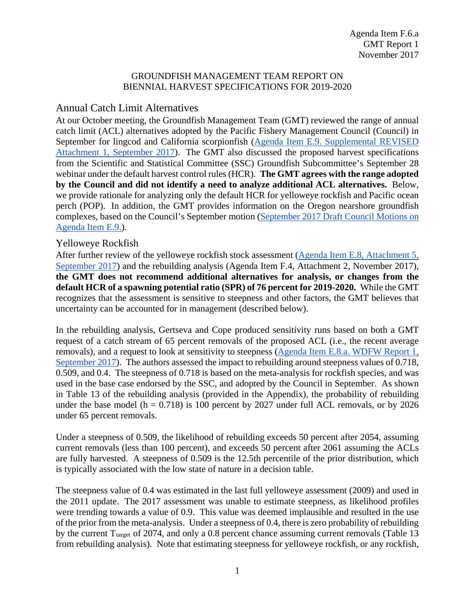### GROUNDFISH MANAGEMENT TEAM REPORT ON BIENNIAL HARVEST SPECIFICATIONS FOR 2019-2020

# Annual Catch Limit Alternatives

At our October meeting, the Groundfish Management Team (GMT) reviewed the range of annual catch limit (ACL) alternatives adopted by the Pacific Fishery Management Council (Council) in September for lingcod and California scorpionfish [\(Agenda Item E.9. Supplemental REVISED](https://www.pcouncil.org/wp-content/uploads/2017/09/E9_Sup_REVISED_Att1_2019-20HarvestSpex_SEPT2017BB.pdf)  [Attachment 1, September 2017\)](https://www.pcouncil.org/wp-content/uploads/2017/09/E9_Sup_REVISED_Att1_2019-20HarvestSpex_SEPT2017BB.pdf). The GMT also discussed the proposed harvest specifications from the Scientific and Statistical Committee (SSC) Groundfish Subcommittee's September 28 webinar under the default harvest control rules (HCR). **The GMT agrees with the range adopted by the Council and did not identify a need to analyze additional ACL alternatives.** Below, we provide rationale for analyzing only the default HCR for yelloweye rockfish and Pacific ocean perch (POP). In addition, the GMT provides information on the Oregon nearshore groundfish complexes, based on the Council's September motion [\(September 2017 Draft Council Motions on](https://www.pcouncil.org/wp-content/uploads/2017/09/E9_CouncilAction_September2017.pdf)  [Agenda Item E.9.\)](https://www.pcouncil.org/wp-content/uploads/2017/09/E9_CouncilAction_September2017.pdf).

## Yelloweye Rockfish

After further review of the yelloweye rockfish stock assessment [\(Agenda Item E.8, Attachment 5,](https://www.pcouncil.org/wp-content/uploads/2017/08/E8_Att5_Yelloweye_FullDoc_E-Only_SEPT2017BB.pdf)  [September 2017\)](https://www.pcouncil.org/wp-content/uploads/2017/08/E8_Att5_Yelloweye_FullDoc_E-Only_SEPT2017BB.pdf) and the rebuilding analysis (Agenda Item F.4, Attachment 2, November 2017), **the GMT does not recommend additional alternatives for analysis, or changes from the default HCR of a spawning potential ratio (SPR) of 76 percent for 2019-2020.** While the GMT recognizes that the assessment is sensitive to steepness and other factors, the GMT believes that uncertainty can be accounted for in management (described below).

In the rebuilding analysis, Gertseva and Cope produced sensitivity runs based on both a GMT request of a catch stream of 65 percent removals of the proposed ACL (i.e., the recent average removals), and a request to look at sensitivity to steepness [\(Agenda Item E.8.a. WDFW Report 1,](https://www.pcouncil.org/wp-content/uploads/2017/08/E8a_WDFW_Rpt1_SEPT2017BB.pdf)  [September 2017\)](https://www.pcouncil.org/wp-content/uploads/2017/08/E8a_WDFW_Rpt1_SEPT2017BB.pdf). The authors assessed the impact to rebuilding around steepness values of 0.718, 0.509, and 0.4. The steepness of 0.718 is based on the meta-analysis for rockfish species, and was used in the base case endorsed by the SSC, and adopted by the Council in September. As shown in Table 13 of the rebuilding analysis (provided in the Appendix), the probability of rebuilding under the base model ( $h = 0.718$ ) is 100 percent by 2027 under full ACL removals, or by 2026 under 65 percent removals.

Under a steepness of 0.509, the likelihood of rebuilding exceeds 50 percent after 2054, assuming current removals (less than 100 percent), and exceeds 50 percent after 2061 assuming the ACLs are fully harvested. A steepness of 0.509 is the 12.5th percentile of the prior distribution, which is typically associated with the low state of nature in a decision table.

The steepness value of 0.4 was estimated in the last full yelloweye assessment (2009) and used in the 2011 update. The 2017 assessment was unable to estimate steepness, as likelihood profiles were trending towards a value of 0.9. This value was deemed implausible and resulted in the use of the prior from the meta-analysis. Under a steepness of 0.4, there is zero probability of rebuilding by the current  $T_{\text{target}}$  of 2074, and only a 0.8 percent chance assuming current removals (Table 13) from rebuilding analysis). Note that estimating steepness for yelloweye rockfish, or any rockfish,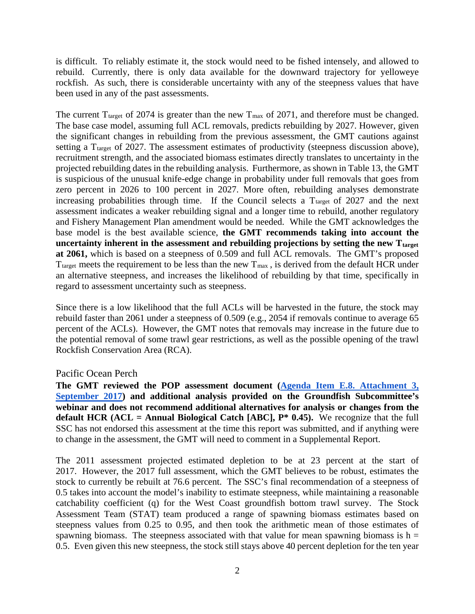is difficult. To reliably estimate it, the stock would need to be fished intensely, and allowed to rebuild. Currently, there is only data available for the downward trajectory for yelloweye rockfish. As such, there is considerable uncertainty with any of the steepness values that have been used in any of the past assessments.

The current  $T_{\text{target}}$  of 2074 is greater than the new  $T_{\text{max}}$  of 2071, and therefore must be changed. The base case model, assuming full ACL removals, predicts rebuilding by 2027. However, given the significant changes in rebuilding from the previous assessment, the GMT cautions against setting a T<sub>target</sub> of 2027. The assessment estimates of productivity (steepness discussion above), recruitment strength, and the associated biomass estimates directly translates to uncertainty in the projected rebuilding dates in the rebuilding analysis. Furthermore, as shown in Table 13, the GMT is suspicious of the unusual knife-edge change in probability under full removals that goes from zero percent in 2026 to 100 percent in 2027. More often, rebuilding analyses demonstrate increasing probabilities through time. If the Council selects a  $T_{\text{target}}$  of 2027 and the next assessment indicates a weaker rebuilding signal and a longer time to rebuild, another regulatory and Fishery Management Plan amendment would be needed. While the GMT acknowledges the base model is the best available science, **the GMT recommends taking into account the**  uncertainty inherent in the assessment and rebuilding projections by setting the new  $T_{\text{target}}$ **at 2061,** which is based on a steepness of 0.509 and full ACL removals. The GMT's proposed  $T_{\text{target}}$  meets the requirement to be less than the new  $T_{\text{max}}$ , is derived from the default HCR under an alternative steepness, and increases the likelihood of rebuilding by that time, specifically in regard to assessment uncertainty such as steepness.

Since there is a low likelihood that the full ACLs will be harvested in the future, the stock may rebuild faster than 2061 under a steepness of 0.509 (e.g., 2054 if removals continue to average 65 percent of the ACLs). However, the GMT notes that removals may increase in the future due to the potential removal of some trawl gear restrictions, as well as the possible opening of the trawl Rockfish Conservation Area (RCA).

#### Pacific Ocean Perch

**The GMT reviewed the POP assessment document [\(Agenda Item E.8. Attachment 3,](https://www.pcouncil.org/wp-content/uploads/2017/08/E8_Att3_POP_FullDoc_E-Only_SEPT2017BB.pdf)  [September 2017\)](https://www.pcouncil.org/wp-content/uploads/2017/08/E8_Att3_POP_FullDoc_E-Only_SEPT2017BB.pdf) and additional analysis provided on the Groundfish Subcommittee's webinar and does not recommend additional alternatives for analysis or changes from the default HCR (ACL = Annual Biological Catch [ABC],**  $P^*$  **0.45).** We recognize that the full SSC has not endorsed this assessment at the time this report was submitted, and if anything were to change in the assessment, the GMT will need to comment in a Supplemental Report.

The 2011 assessment projected estimated depletion to be at 23 percent at the start of 2017. However, the 2017 full assessment, which the GMT believes to be robust, estimates the stock to currently be rebuilt at 76.6 percent. The SSC's final recommendation of a steepness of 0.5 takes into account the model's inability to estimate steepness, while maintaining a reasonable catchability coefficient (q) for the West Coast groundfish bottom trawl survey. The Stock Assessment Team (STAT) team produced a range of spawning biomass estimates based on steepness values from 0.25 to 0.95, and then took the arithmetic mean of those estimates of spawning biomass. The steepness associated with that value for mean spawning biomass is  $h =$ 0.5. Even given this new steepness, the stock still stays above 40 percent depletion for the ten year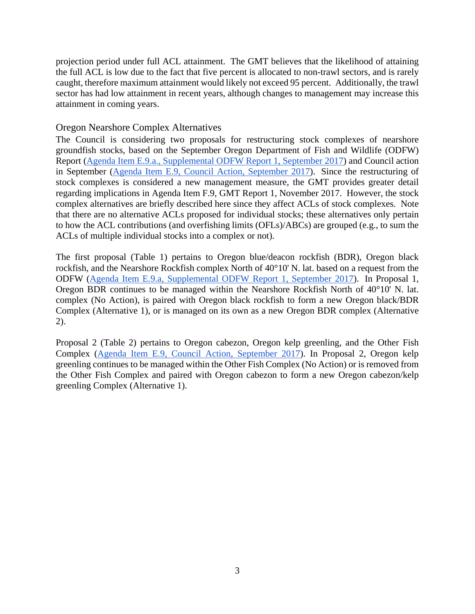projection period under full ACL attainment. The GMT believes that the likelihood of attaining the full ACL is low due to the fact that five percent is allocated to non-trawl sectors, and is rarely caught, therefore maximum attainment would likely not exceed 95 percent. Additionally, the trawl sector has had low attainment in recent years, although changes to management may increase this attainment in coming years.

## Oregon Nearshore Complex Alternatives

The Council is considering two proposals for restructuring stock complexes of nearshore groundfish stocks, based on the September Oregon Department of Fish and Wildlife (ODFW) Report [\(Agenda Item E.9.a., Supplemental ODFW Report 1, September 2017\)](https://www.pcouncil.org/wp-content/uploads/2017/09/E9a_Sup_ODFW_Rpt1_SEPT2017BB.pdf) and Council action in September [\(Agenda Item E.9, Council Action, September 2017\)](https://www.pcouncil.org/wp-content/uploads/2017/09/E9_CouncilAction_September2017.pdf). Since the restructuring of stock complexes is considered a new management measure, the GMT provides greater detail regarding implications in Agenda Item F.9, GMT Report 1, November 2017. However, the stock complex alternatives are briefly described here since they affect ACLs of stock complexes. Note that there are no alternative ACLs proposed for individual stocks; these alternatives only pertain to how the ACL contributions (and overfishing limits (OFLs)/ABCs) are grouped (e.g., to sum the ACLs of multiple individual stocks into a complex or not).

The first proposal [\(Table 1\)](#page-3-0) pertains to Oregon blue/deacon rockfish (BDR), Oregon black rockfish, and the Nearshore Rockfish complex North of 40°10' N. lat. based on a request from the ODFW [\(Agenda Item E.9.a, Supplemental ODFW Report 1, September 2017\)](https://www.pcouncil.org/wp-content/uploads/2017/09/E9a_Sup_ODFW_Rpt1_SEPT2017BB.pdf). In Proposal 1, Oregon BDR continues to be managed within the Nearshore Rockfish North of 40°10' N. lat. complex (No Action), is paired with Oregon black rockfish to form a new Oregon black/BDR Complex (Alternative 1), or is managed on its own as a new Oregon BDR complex (Alternative 2).

Proposal 2 [\(Table 2\)](#page-3-1) pertains to Oregon cabezon, Oregon kelp greenling, and the Other Fish Complex [\(Agenda Item E.9, Council Action, September 2017\)](https://www.pcouncil.org/wp-content/uploads/2017/09/E9_CouncilAction_September2017.pdf). In Proposal 2, Oregon kelp greenling continues to be managed within the Other Fish Complex (No Action) or is removed from the Other Fish Complex and paired with Oregon cabezon to form a new Oregon cabezon/kelp greenling Complex (Alternative 1).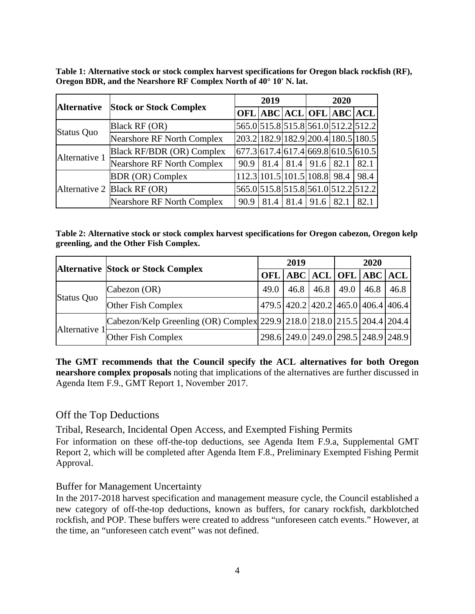<span id="page-3-0"></span>**Table 1: Alternative stock or stock complex harvest specifications for Oregon black rockfish (RF), Oregon BDR, and the Nearshore RF Complex North of 40° 10' N. lat.**

|                    |                                   | 2019 |      |                                    | 2020 |                                                 |      |
|--------------------|-----------------------------------|------|------|------------------------------------|------|-------------------------------------------------|------|
| <b>Alternative</b> | <b>Stock or Stock Complex</b>     |      |      |                                    |      | <b>OFL ABC ACL OFL ABC ACL</b>                  |      |
|                    | Black RF (OR)                     |      |      |                                    |      | 565.0 515.8 515.8 561.0 512.2 512.2             |      |
| <b>Status Quo</b>  | <b>Nearshore RF North Complex</b> |      |      |                                    |      | 203.2 182.9 182.9 200.4 180.5 180.5             |      |
| Alternative 1      | <b>Black RF/BDR (OR) Complex</b>  |      |      |                                    |      | $[677.3]$ 617.4 $[617.4]$ 669.8 $[610.5]$ 610.5 |      |
|                    | <b>Nearshore RF North Complex</b> |      |      | $90.9$   81.4   81.4   91.6   82.1 |      |                                                 | 82.1 |
|                    | <b>BDR</b> (OR) Complex           |      |      |                                    |      | 112.3 101.5 101.5 108.8 98.4                    | 98.4 |
|                    | Alternative 2 Black RF (OR)       |      |      |                                    |      | 565.0 515.8 515.8 561.0 512.2 512.2             |      |
|                    | <b>Nearshore RF North Complex</b> | 90.9 | 81.4 | 81.4                               | 91.6 | 82.1                                            | 82.1 |

<span id="page-3-1"></span>**Table 2: Alternative stock or stock complex harvest specifications for Oregon cabezon, Oregon kelp greenling, and the Other Fish Complex.**

|               |                                                                         | 2019 |      |  | 2020                                |      |      |
|---------------|-------------------------------------------------------------------------|------|------|--|-------------------------------------|------|------|
|               | <b>Alternative Stock or Stock Complex</b>                               |      |      |  | OFL ABC ACL OFL ABC ACL             |      |      |
| Status Quo    | Cabezon (OR)                                                            | 49.0 | 46.8 |  | $46.8$ 49.0                         | 46.8 | 46.8 |
|               | Other Fish Complex                                                      |      |      |  | 479.5 420.2 420.2 465.0 406.4 406.4 |      |      |
| Alternative 1 | Cabezon/Kelp Greenling (OR) Complex 229.9 218.0 218.0 215.5 204.4 204.4 |      |      |  |                                     |      |      |
|               | Other Fish Complex                                                      |      |      |  | 298.6 249.0 249.0 298.5 248.9 248.9 |      |      |

**The GMT recommends that the Council specify the ACL alternatives for both Oregon nearshore complex proposals** noting that implications of the alternatives are further discussed in Agenda Item F.9., GMT Report 1, November 2017.

# Off the Top Deductions

Tribal, Research, Incidental Open Access, and Exempted Fishing Permits

For information on these off-the-top deductions, see Agenda Item F.9.a, Supplemental GMT Report 2, which will be completed after Agenda Item F.8., Preliminary Exempted Fishing Permit Approval.

#### Buffer for Management Uncertainty

In the 2017-2018 harvest specification and management measure cycle, the Council established a new category of off-the-top deductions, known as buffers, for canary rockfish, darkblotched rockfish, and POP. These buffers were created to address "unforeseen catch events." However, at the time, an "unforeseen catch event" was not defined.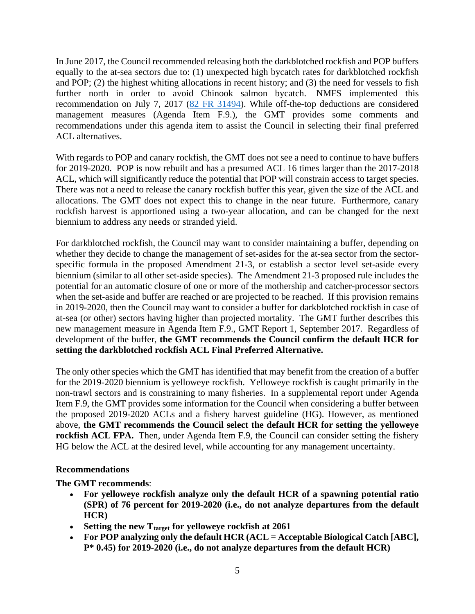In June 2017, the Council recommended releasing both the darkblotched rockfish and POP buffers equally to the at-sea sectors due to: (1) unexpected high bycatch rates for darkblotched rockfish and POP; (2) the highest whiting allocations in recent history; and (3) the need for vessels to fish further north in order to avoid Chinook salmon bycatch. NMFS implemented this recommendation on July 7, 2017 [\(82 FR 31494\)](https://www.federalregister.gov/documents/2017/07/07/2017-14313/magnuson-stevens-act-provisions-fisheries-off-west-coast-states-pacific-coast-groundfish-fishery). While off-the-top deductions are considered management measures (Agenda Item F.9.), the GMT provides some comments and recommendations under this agenda item to assist the Council in selecting their final preferred ACL alternatives.

With regards to POP and canary rockfish, the GMT does not see a need to continue to have buffers for 2019-2020. POP is now rebuilt and has a presumed ACL 16 times larger than the 2017-2018 ACL, which will significantly reduce the potential that POP will constrain access to target species. There was not a need to release the canary rockfish buffer this year, given the size of the ACL and allocations. The GMT does not expect this to change in the near future. Furthermore, canary rockfish harvest is apportioned using a two-year allocation, and can be changed for the next biennium to address any needs or stranded yield.

For darkblotched rockfish, the Council may want to consider maintaining a buffer, depending on whether they decide to change the management of set-asides for the at-sea sector from the sectorspecific formula in the proposed Amendment 21-3, or establish a sector level set-aside every biennium (similar to all other set-aside species). The Amendment 21-3 proposed rule includes the potential for an automatic closure of one or more of the mothership and catcher-processor sectors when the set-aside and buffer are reached or are projected to be reached. If this provision remains in 2019-2020, then the Council may want to consider a buffer for darkblotched rockfish in case of at-sea (or other) sectors having higher than projected mortality. The GMT further describes this new management measure in Agenda Item F.9., GMT Report 1, September 2017. Regardless of development of the buffer, **the GMT recommends the Council confirm the default HCR for setting the darkblotched rockfish ACL Final Preferred Alternative.** 

The only other species which the GMT has identified that may benefit from the creation of a buffer for the 2019-2020 biennium is yelloweye rockfish. Yelloweye rockfish is caught primarily in the non-trawl sectors and is constraining to many fisheries. In a supplemental report under Agenda Item F.9, the GMT provides some information for the Council when considering a buffer between the proposed 2019-2020 ACLs and a fishery harvest guideline (HG). However, as mentioned above, **the GMT recommends the Council select the default HCR for setting the yelloweye rockfish ACL FPA.** Then, under Agenda Item F.9, the Council can consider setting the fishery HG below the ACL at the desired level, while accounting for any management uncertainty.

## **Recommendations**

**The GMT recommends**:

- **For yelloweye rockfish analyze only the default HCR of a spawning potential ratio (SPR) of 76 percent for 2019-2020 (i.e., do not analyze departures from the default HCR)**
- Setting the new T<sub>target</sub> for yelloweye rockfish at 2061
- **For POP analyzing only the default HCR (ACL = Acceptable Biological Catch [ABC], P\* 0.45) for 2019-2020 (i.e., do not analyze departures from the default HCR)**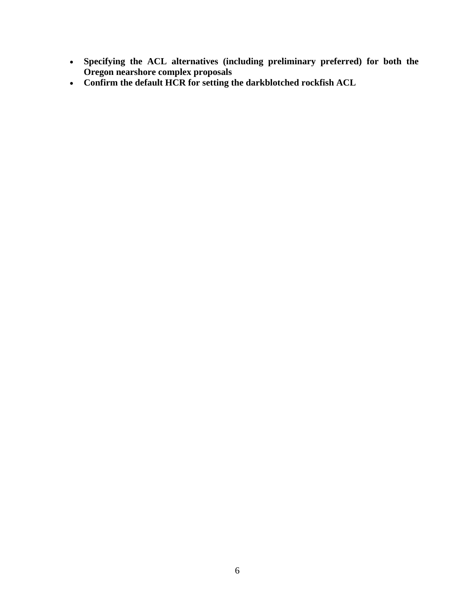- **Specifying the ACL alternatives (including preliminary preferred) for both the Oregon nearshore complex proposals**
- **Confirm the default HCR for setting the darkblotched rockfish ACL**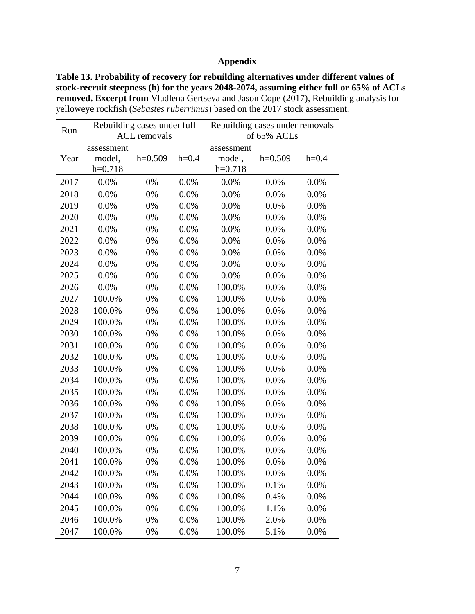### **Appendix**

**Table 13. Probability of recovery for rebuilding alternatives under different values of stock-recruit steepness (h) for the years 2048-2074, assuming either full or 65% of ACLs removed. Excerpt from** Vladlena Gertseva and Jason Cope (2017), Rebuilding analysis for yelloweye rockfish (*Sebastes ruberrimus*) based on the 2017 stock assessment.

| Run  | Rebuilding cases under full<br><b>ACL</b> removals |           |         | Rebuilding cases under removals |           |         |  |
|------|----------------------------------------------------|-----------|---------|---------------------------------|-----------|---------|--|
|      |                                                    |           |         | of 65% ACLs                     |           |         |  |
| Year | assessment<br>model,                               | $h=0.509$ | $h=0.4$ | assessment<br>model,            | $h=0.509$ | $h=0.4$ |  |
|      | $h=0.718$                                          |           |         | $h=0.718$                       |           |         |  |
| 2017 | 0.0%                                               | 0%        | 0.0%    | 0.0%                            | 0.0%      | 0.0%    |  |
| 2018 | 0.0%                                               | 0%        | 0.0%    | 0.0%                            | 0.0%      | 0.0%    |  |
| 2019 | 0.0%                                               | 0%        | 0.0%    | 0.0%                            | 0.0%      | 0.0%    |  |
| 2020 | 0.0%                                               | 0%        | 0.0%    | 0.0%                            | 0.0%      | 0.0%    |  |
| 2021 | 0.0%                                               | 0%        | 0.0%    | 0.0%                            | 0.0%      | 0.0%    |  |
| 2022 | 0.0%                                               | 0%        | 0.0%    | 0.0%                            | 0.0%      | 0.0%    |  |
| 2023 | 0.0%                                               | 0%        | 0.0%    | 0.0%                            | 0.0%      | 0.0%    |  |
| 2024 | 0.0%                                               | 0%        | 0.0%    | 0.0%                            | 0.0%      | 0.0%    |  |
| 2025 | 0.0%                                               | 0%        | 0.0%    | 0.0%                            | 0.0%      | 0.0%    |  |
| 2026 | 0.0%                                               | 0%        | 0.0%    | 100.0%                          | 0.0%      | 0.0%    |  |
| 2027 | 100.0%                                             | 0%        | 0.0%    | 100.0%                          | 0.0%      | 0.0%    |  |
| 2028 | 100.0%                                             | 0%        | 0.0%    | 100.0%                          | 0.0%      | 0.0%    |  |
| 2029 | 100.0%                                             | 0%        | 0.0%    | 100.0%                          | 0.0%      | 0.0%    |  |
| 2030 | 100.0%                                             | 0%        | 0.0%    | 100.0%                          | 0.0%      | 0.0%    |  |
| 2031 | 100.0%                                             | 0%        | 0.0%    | 100.0%                          | 0.0%      | 0.0%    |  |
| 2032 | 100.0%                                             | 0%        | 0.0%    | 100.0%                          | 0.0%      | 0.0%    |  |
| 2033 | 100.0%                                             | 0%        | 0.0%    | 100.0%                          | 0.0%      | 0.0%    |  |
| 2034 | 100.0%                                             | 0%        | 0.0%    | 100.0%                          | 0.0%      | 0.0%    |  |
| 2035 | 100.0%                                             | 0%        | 0.0%    | 100.0%                          | 0.0%      | 0.0%    |  |
| 2036 | 100.0%                                             | 0%        | 0.0%    | 100.0%                          | 0.0%      | 0.0%    |  |
| 2037 | 100.0%                                             | 0%        | 0.0%    | 100.0%                          | 0.0%      | 0.0%    |  |
| 2038 | 100.0%                                             | 0%        | 0.0%    | 100.0%                          | 0.0%      | 0.0%    |  |
| 2039 | 100.0%                                             | 0%        | 0.0%    | 100.0%                          | 0.0%      | 0.0%    |  |
| 2040 | 100.0%                                             | 0%        | 0.0%    | 100.0%                          | 0.0%      | 0.0%    |  |
| 2041 | 100.0%                                             | 0%        | 0.0%    | 100.0%                          | 0.0%      | 0.0%    |  |
| 2042 | 100.0%                                             | 0%        | 0.0%    | 100.0%                          | 0.0%      | 0.0%    |  |
| 2043 | 100.0%                                             | 0%        | 0.0%    | 100.0%                          | 0.1%      | 0.0%    |  |
| 2044 | 100.0%                                             | 0%        | 0.0%    | 100.0%                          | 0.4%      | 0.0%    |  |
| 2045 | 100.0%                                             | 0%        | 0.0%    | 100.0%                          | 1.1%      | 0.0%    |  |
| 2046 | 100.0%                                             | 0%        | 0.0%    | 100.0%                          | 2.0%      | 0.0%    |  |
| 2047 | 100.0%                                             | 0%        | 0.0%    | 100.0%                          | 5.1%      | 0.0%    |  |